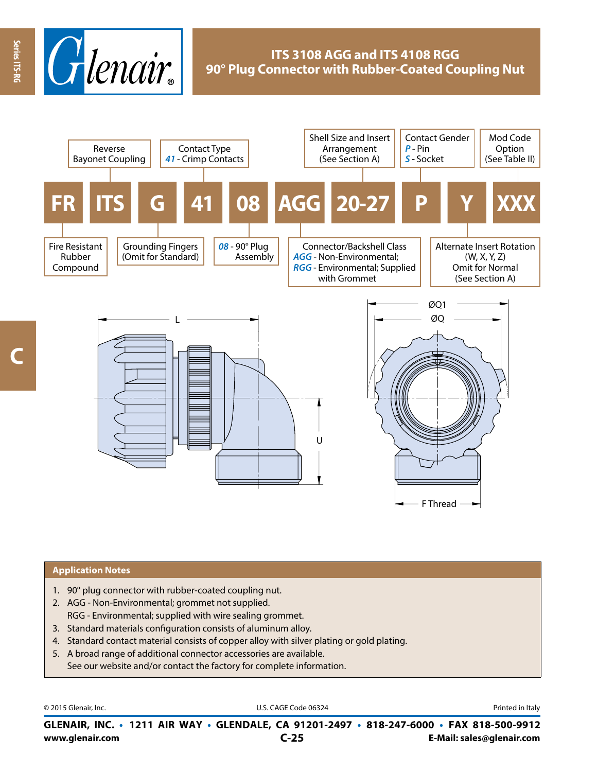

## **ITS 3108 AGG and ITS 4108 RGG 90° Plug Connector with Rubber-Coated Coupling Nut**



#### **Application Notes**

- 1. 90° plug connector with rubber-coated coupling nut.
- 2. AGG Non-Environmental; grommet not supplied. RGG - Environmental; supplied with wire sealing grommet.
- 3. Standard materials configuration consists of aluminum alloy.
- 4. Standard contact material consists of copper alloy with silver plating or gold plating.
- 5. A broad range of additional connector accessories are available. See our website and/or contact the factory for complete information.

© 2015 Glenair, Inc. **Discription Construction Construction Construction Construction Construction Construction Construction Construction Construction Construction Construction Construction Construction Construction Constr** 

**www.glenair.com E-Mail: sales@glenair.com GLENAIR, INC. • 1211 AIR WAY • GLENDALE, CA 91201-2497 • 818-247-6000 • FAX 818-500-9912 C-25**